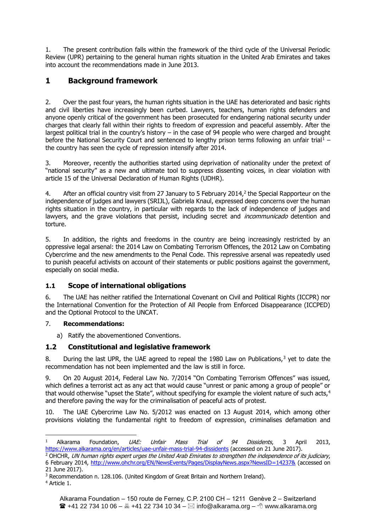1. The present contribution falls within the framework of the third cycle of the Universal Periodic Review (UPR) pertaining to the general human rights situation in the United Arab Emirates and takes into account the recommendations made in June 2013.

# **1 Background framework**

2. Over the past four years, the human rights situation in the UAE has deteriorated and basic rights and civil liberties have increasingly been curbed. Lawyers, teachers, human rights defenders and anyone openly critical of the government has been prosecuted for endangering national security under charges that clearly fall within their rights to freedom of expression and peaceful assembly. After the largest political trial in the country's history – in the case of 94 people who were charged and brought before the National Security Court and sentenced to lengthy prison terms following an unfair trial<sup>1</sup> – the country has seen the cycle of repression intensify after 2014.

3. Moreover, recently the authorities started using deprivation of nationality under the pretext of "national security" as a new and ultimate tool to suppress dissenting voices, in clear violation with article 15 of the Universal Declaration of Human Rights (UDHR).

4. After an official country visit from 27 January to 5 February 2014, $^2$  the Special Rapporteur on the independence of judges and lawyers (SRIJL), Gabriela Knaul, expressed deep concerns over the human rights situation in the country, in particular with regards to the lack of independence of judges and lawyers, and the grave violations that persist, including secret and *incommunicado* detention and torture.

5. In addition, the rights and freedoms in the country are being increasingly restricted by an oppressive legal arsenal: the 2014 Law on Combating Terrorism Offences, the 2012 Law on Combating Cybercrime and the new amendments to the Penal Code. This repressive arsenal was repeatedly used to punish peaceful activists on account of their statements or public positions against the government, especially on social media.

# **1.1 Scope of international obligations**

6. The UAE has neither ratified the International Covenant on Civil and Political Rights (ICCPR) nor the International Convention for the Protection of All People from Enforced Disappearance (ICCPED) and the Optional Protocol to the UNCAT.

# 7. **Recommendations:**

a) Ratify the abovementioned Conventions.

# **1.2 Constitutional and legislative framework**

8. During the last UPR, the UAE agreed to repeal the 1980 Law on Publications,<sup>3</sup> yet to date the recommendation has not been implemented and the law is still in force.

9. On 20 August 2014, Federal Law No. 7/2014 "On Combating Terrorism Offences" was issued, which defines a terrorist act as any act that would cause "unrest or panic among a group of people" or that would otherwise "upset the State", without specifying for example the violent nature of such acts,<sup>4</sup> and therefore paving the way for the criminalisation of peaceful acts of protest.

10. The UAE Cybercrime Law No. 5/2012 was enacted on 13 August 2014, which among other provisions violating the fundamental right to freedom of expression, criminalises defamation and

<sup>&</sup>lt;sup>1</sup> Alkarama Foundation, *UAE: Unfair Mass Trial of 94 Dissidents*, 3 April 2013, <https://www.alkarama.org/en/articles/uae-unfair-mass-trial-94-dissidents> (accessed on 21 June 2017).

<sup>&</sup>lt;sup>2</sup> OHCHR, UN human rights expert urges the United Arab Emirates to strengthen the independence of its judiciary, 6 February 2014,<http://www.ohchr.org/EN/NewsEvents/Pages/DisplayNews.aspx?NewsID=14237&> (accessed on 21 June 2017).

<sup>&</sup>lt;sup>3</sup> Recommendation n. 128.106. (United Kingdom of Great Britain and Northern Ireland).

<sup>4</sup> Article 1.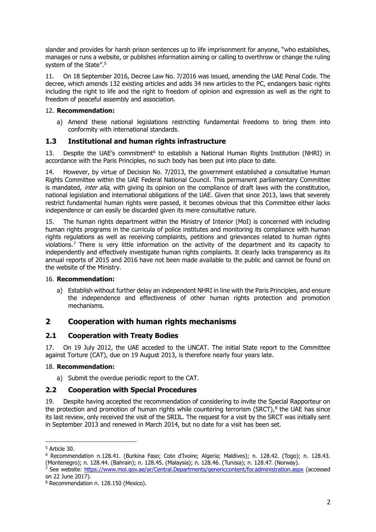slander and provides for harsh prison sentences up to life imprisonment for anyone, "who establishes, manages or runs a website, or publishes information aiming or calling to overthrow or change the ruling system of the State".<sup>5</sup>

11. On 18 September 2016, Decree Law No. 7/2016 was issued, amending the UAE Penal Code. The decree, which amends 132 existing articles and adds 34 new articles to the PC, endangers basic rights including the right to life and the right to freedom of opinion and expression as well as the right to freedom of peaceful assembly and association.

### 12. **Recommendation:**

a) Amend these national legislations restricting fundamental freedoms to bring them into conformity with international standards.

# **1.3 Institutional and human rights infrastructure**

13. Despite the UAE's commitment<sup>6</sup> to establish a National Human Rights Institution (NHRI) in accordance with the Paris Principles, no such body has been put into place to date.

14. However, by virtue of Decision No. 7/2013, the government established a consultative Human Rights Committee within the UAE Federal National Council. This permanent parliamentary Committee is mandated, *inter alia*, with giving its opinion on the compliance of draft laws with the constitution, national legislation and international obligations of the UAE. Given that since 2013, laws that severely restrict fundamental human rights were passed, it becomes obvious that this Committee either lacks independence or can easily be discarded given its mere consultative nature.

15. The human rights department within the Ministry of Interior (MoI) is concerned with including human rights programs in the curricula of police institutes and monitoring its compliance with human rights regulations as well as receiving complaints, petitions and grievances related to human rights violations.<sup>7</sup> There is very little information on the activity of the department and its capacity to independently and effectively investigate human rights complaints. It clearly lacks transparency as its annual reports of 2015 and 2016 have not been made available to the public and cannot be found on the website of the Ministry.

### 16. **Recommendation:**

a) Establish without further delay an independent NHRI in line with the Paris Principles, and ensure the independence and effectiveness of other human rights protection and promotion mechanisms.

# **2 Cooperation with human rights mechanisms**

# **2.1 Cooperation with Treaty Bodies**

17. On 19 July 2012, the UAE acceded to the UNCAT. The initial State report to the Committee against Torture (CAT), due on 19 August 2013, is therefore nearly four years late.

# 18. **Recommendation:**

a) Submit the overdue periodic report to the CAT.

# **2.2 Cooperation with Special Procedures**

19. Despite having accepted the recommendation of considering to invite the Special Rapporteur on the protection and promotion of human rights while countering terrorism (SRCT), $8$  the UAE has since its last review, only received the visit of the SRIJL. The request for a visit by the SRCT was initially sent in September 2013 and renewed in March 2014, but no date for a visit has been set.

<sup>5</sup> Article 30.

<sup>6</sup> Recommendation n.128.41. (Burkina Faso; Cote d'Ivoire; Algeria; Maldives); n. 128.42. (Togo); n. 128.43. (Montenegro); n. 128.44. (Bahrain); n. 128.45. (Malaysia); n. 128.46. (Tunisia); n. 128.47. (Norway).

<sup>&</sup>lt;sup>7</sup> See website:<https://www.moi.gov.ae/ar/Central.Departments/genericcontent/for.administration.aspx> (accessed on 22 June 2017).

<sup>8</sup> Recommendation n. 128.150 (Mexico).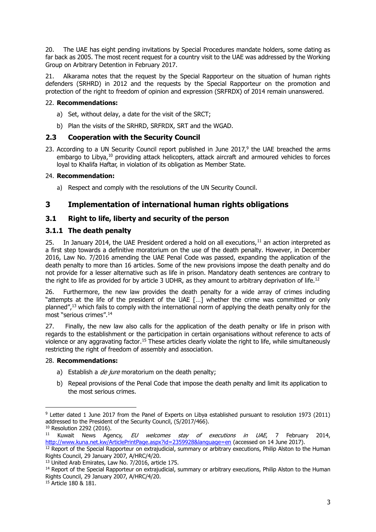20. The UAE has eight pending invitations by Special Procedures mandate holders, some dating as far back as 2005. The most recent request for a country visit to the UAE was addressed by the Working Group on Arbitrary Detention in February 2017.

21. Alkarama notes that the request by the Special Rapporteur on the situation of human rights defenders (SRHRD) in 2012 and the requests by the Special Rapporteur on the promotion and protection of the right to freedom of opinion and expression (SRFRDX) of 2014 remain unanswered.

### 22. **Recommendations:**

- a) Set, without delay, a date for the visit of the SRCT;
- b) Plan the visits of the SRHRD, SRFRDX, SRT and the WGAD.

# **2.3 Cooperation with the Security Council**

23. According to a UN Security Council report published in June  $2017$ ,<sup>9</sup> the UAE breached the arms embargo to Libya,<sup>10</sup> providing attack helicopters, attack aircraft and armoured vehicles to forces loyal to Khalifa Haftar, in violation of its obligation as Member State.

### 24. **Recommendation:**

a) Respect and comply with the resolutions of the UN Security Council.

# **3 Implementation of international human rights obligations**

# **3.1 Right to life, liberty and security of the person**

# **3.1.1 The death penalty**

25. In January 2014, the UAE President ordered a hold on all executions,  $11$  an action interpreted as a first step towards a definitive moratorium on the use of the death penalty. However, in December 2016, Law No. 7/2016 amending the UAE Penal Code was passed, expanding the application of the death penalty to more than 16 articles. Some of the new provisions impose the death penalty and do not provide for a lesser alternative such as life in prison. Mandatory death sentences are contrary to the right to life as provided for by article 3 UDHR, as they amount to arbitrary deprivation of life.<sup>12</sup>

26. Furthermore, the new law provides the death penalty for a wide array of crimes including "attempts at the life of the president of the UAE […] whether the crime was committed or only planned",<sup>13</sup> which fails to comply with the international norm of applying the death penalty only for the most "serious crimes".<sup>14</sup>

27. Finally, the new law also calls for the application of the death penalty or life in prison with regards to the establishment or the participation in certain organisations without reference to acts of violence or any aggravating factor.<sup>15</sup> These articles clearly violate the right to life, while simultaneously restricting the right of freedom of assembly and association.

### 28. **Recommendations:**

- a) Establish a *de jure* moratorium on the death penalty;
- b) Repeal provisions of the Penal Code that impose the death penalty and limit its application to the most serious crimes.

<sup>9</sup> Letter dated 1 June 2017 from the Panel of Experts on Libya established pursuant to resolution 1973 (2011) addressed to the President of the Security Council, (S/2017/466).

<sup>10</sup> Resolution 2292 (2016).

<sup>&</sup>lt;sup>11</sup> Kuwait News Agency, EU welcomes stay of executions in UAE, 7 February 2014, <http://www.kuna.net.kw/ArticlePrintPage.aspx?id=2359928&language=en> (accessed on 14 June 2017).

<sup>&</sup>lt;sup>12</sup> Report of the Special Rapporteur on extrajudicial, summary or arbitrary executions, Philip Alston to the Human Rights Council, 29 January 2007, A/HRC/4/20.

<sup>13</sup> United Arab Emirates, Law No. 7/2016, article 175.

<sup>&</sup>lt;sup>14</sup> Report of the Special Rapporteur on extrajudicial, summary or arbitrary executions, Philip Alston to the Human Rights Council, 29 January 2007, A/HRC/4/20.

<sup>&</sup>lt;sup>15</sup> Article 180 & 181.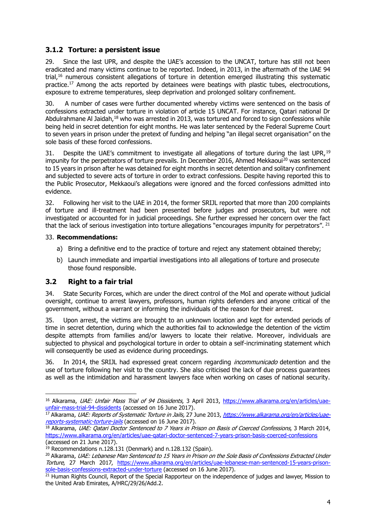# **3.1.2 Torture: a persistent issue**

29. Since the last UPR, and despite the UAE's accession to the UNCAT, torture has still not been eradicated and many victims continue to be reported. Indeed, in 2013, in the aftermath of the UAE 94 trial,<sup>16</sup> numerous consistent allegations of torture in detention emerged illustrating this systematic practice.<sup>17</sup> Among the acts reported by detainees were beatings with plastic tubes, electrocutions, exposure to extreme temperatures, sleep deprivation and prolonged solitary confinement.

30. A number of cases were further documented whereby victims were sentenced on the basis of confessions extracted under torture in violation of article 15 UNCAT. For instance, Qatari national Dr Abdulrahmane Al Jaidah,<sup>18</sup> who was arrested in 2013, was tortured and forced to sign confessions while being held in secret detention for eight months. He was later sentenced by the Federal Supreme Court to seven years in prison under the pretext of funding and helping "an illegal secret organisation" on the sole basis of these forced confessions.

31. Despite the UAE's commitment to investigate all allegations of torture during the last UPR.<sup>19</sup> impunity for the perpetrators of torture prevails. In December 2016, Ahmed Mekkaoui<sup>20</sup> was sentenced to 15 years in prison after he was detained for eight months in secret detention and solitary confinement and subjected to severe acts of torture in order to extract confessions. Despite having reported this to the Public Prosecutor, Mekkaoui's allegations were ignored and the forced confessions admitted into evidence.

32. Following her visit to the UAE in 2014, the former SRIJL reported that more than 200 complaints of torture and ill-treatment had been presented before judges and prosecutors, but were not investigated or accounted for in judicial proceedings. She further expressed her concern over the fact that the lack of serious investigation into torture allegations "encourages impunity for perpetrators". <sup>21</sup>

### 33. **Recommendations:**

- a) Bring a definitive end to the practice of torture and reject any statement obtained thereby;
- b) Launch immediate and impartial investigations into all allegations of torture and prosecute those found responsible.

### **3.2 Right to a fair trial**

1

34. State Security Forces, which are under the direct control of the MoI and operate without judicial oversight, continue to arrest lawyers, professors, human rights defenders and anyone critical of the government, without a warrant or informing the individuals of the reason for their arrest.

35. Upon arrest, the victims are brought to an unknown location and kept for extended periods of time in secret detention, during which the authorities fail to acknowledge the detention of the victim despite attempts from families and/or lawyers to locate their relative. Moreover, individuals are subjected to physical and psychological torture in order to obtain a self-incriminating statement which will consequently be used as evidence during proceedings.

36. In 2014, the SRIJL had expressed great concern regarding *incommunicado* detention and the use of torture following her visit to the country. She also criticised the lack of due process guarantees as well as the intimidation and harassment lawyers face when working on cases of national security.

<sup>&</sup>lt;sup>16</sup> Alkarama, UAE: Unfair Mass Trial of 94 Dissidents, 3 April 2013, [https://www.alkarama.org/en/articles/uae](https://www.alkarama.org/en/articles/uae-unfair-mass-trial-94-dissidents)[unfair-mass-trial-94-dissidents](https://www.alkarama.org/en/articles/uae-unfair-mass-trial-94-dissidents) (accessed on 16 June 2017).

<sup>&</sup>lt;sup>17</sup> Alkarama, *UAE: Reports of Systematic Torture in Jails,* 27 June 2013, *[https://www.alkarama.org/en/articles/uae](https://www.alkarama.org/en/articles/uae-reports-systematic-torture-jails)*[reports-systematic-torture-jails](https://www.alkarama.org/en/articles/uae-reports-systematic-torture-jails) (accessed on 16 June 2017).

<sup>&</sup>lt;sup>18</sup> Alkarama, UAE: Qatari Doctor Sentenced to 7 Years in Prison on Basis of Coerced Confessions, 3 March 2014, <https://www.alkarama.org/en/articles/uae-qatari-doctor-sentenced-7-years-prison-basis-coerced-confessions> (accessed on 21 June 2017).

 $19$  Recommendations n.128.131 (Denmark) and n.128.132 (Spain).

<sup>&</sup>lt;sup>20</sup> Alkarama, UAE: Lebanese Man Sentenced to 15 Years in Prison on the Sole Basis of Confessions Extracted Under Torture, 27 March 2017, [https://www.alkarama.org/en/articles/uae-lebanese-man-sentenced-15-years-prison](https://www.alkarama.org/en/articles/uae-lebanese-man-sentenced-15-years-prison-sole-basis-confessions-extracted-under-torture)[sole-basis-confessions-extracted-under-torture](https://www.alkarama.org/en/articles/uae-lebanese-man-sentenced-15-years-prison-sole-basis-confessions-extracted-under-torture) (accessed on 16 June 2017).

<sup>&</sup>lt;sup>21</sup> Human Rights Council, Report of the Special Rapporteur on the independence of judges and lawyer, Mission to the United Arab Emirates, A/HRC/29/26/Add.2.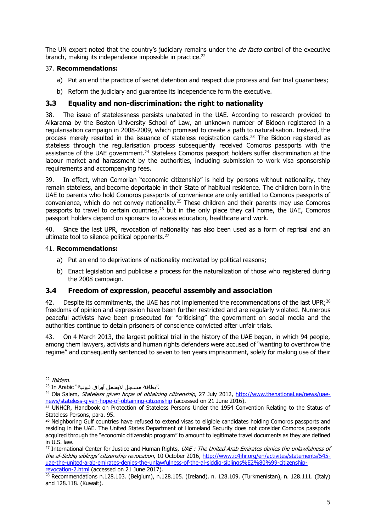The UN expert noted that the country's judiciary remains under the *de facto* control of the executive branch, making its independence impossible in practice.<sup>22</sup>

#### 37. **Recommendations:**

- a) Put an end the practice of secret detention and respect due process and fair trial guarantees;
- b) Reform the judiciary and guarantee its independence form the executive.

### **3.3 Equality and non-discrimination: the right to nationality**

38. The issue of statelessness persists unabated in the UAE. According to research provided to Alkarama by the Boston University School of Law, an unknown number of Bidoon registered in a regularisation campaign in 2008-2009, which promised to create a path to naturalisation. Instead, the process merely resulted in the issuance of stateless registration cards.<sup>23</sup> The Bidoon registered as stateless through the regularisation process subsequently received Comoros passports with the assistance of the UAE government.<sup>24</sup> Stateless Comoros passport holders suffer discrimination at the labour market and harassment by the authorities, including submission to work visa sponsorship requirements and accompanying fees.

39. In effect, when Comorian "economic citizenship" is held by persons without nationality, they remain stateless, and become deportable in their State of habitual residence. The children born in the UAE to parents who hold Comoros passports of convenience are only entitled to Comoros passports of convenience, which do not convey nationality.<sup>25</sup> These children and their parents may use Comoros passports to travel to certain countries,<sup>26</sup> but in the only place they call home, the UAE, Comoros passport holders depend on sponsors to access education, healthcare and work.

40. Since the last UPR, revocation of nationality has also been used as a form of reprisal and an ultimate tool to silence political opponents.<sup>27</sup>

#### 41. **Recommendations:**

- a) Put an end to deprivations of nationality motivated by political reasons;
- b) Enact legislation and publicise a process for the naturalization of those who registered during the 2008 campaign.

### **3.4 Freedom of expression, peaceful assembly and association**

42. Despite its commitments, the UAE has not implemented the recommendations of the last UPR;<sup>28</sup> freedoms of opinion and expression have been further restricted and are regularly violated. Numerous peaceful activists have been prosecuted for "criticising" the government on social media and the authorities continue to detain prisoners of conscience convicted after unfair trials.

43. On 4 March 2013, the largest political trial in the history of the UAE began, in which 94 people, among them lawyers, activists and human rights defenders were accused of "wanting to overthrow the regime" and consequently sentenced to seven to ten years imprisonment, solely for making use of their

<sup>22</sup> Ibidem.

<sup>23</sup> In Arabic "بطاقة مسجل لايحمل آوراق ثبوتية".

<sup>&</sup>lt;sup>24</sup> Ola Salem, Stateless given hope of obtaining citizenship, 27 July 2012, [http://www.thenational.ae/news/uae](http://www.thenational.ae/news/uae-news/stateless-given-hope-of-obtaining-citizenship)[news/stateless-given-hope-of-obtaining-citizenship](http://www.thenational.ae/news/uae-news/stateless-given-hope-of-obtaining-citizenship) (accessed on 21 June 2016).

<sup>&</sup>lt;sup>25</sup> UNHCR, Handbook on Protection of Stateless Persons Under the 1954 Convention Relating to the Status of Stateless Persons, para. 95.

<sup>&</sup>lt;sup>26</sup> Neighboring Gulf countries have refused to extend visas to eligible candidates holding Comoros passports and residing in the UAE. The United States Department of Homeland Security does not consider Comoros passports acquired through the "economic citizenship program" to amount to legitimate travel documents as they are defined in U.S. law.

<sup>&</sup>lt;sup>27</sup> International Center for Justice and Human Rights, UAE: The United Arab Emirates denies the unlawfulness of the al-Siddia siblings' citizenship revocation, 10 October 2016, http://www.ic4ihr.org/en/activites/statements/545[uae-the-united-arab-emirates-denies-the-unlawfulness-of-the-al-siddiq-siblings%E2%80%99-citizenship](http://www.ic4jhr.org/en/activites/statements/545-uae-the-united-arab-emirates-denies-the-unlawfulness-of-the-al-siddiq-siblings%E2%80%99-citizenship-revocation-2.html)[revocation-2.html](http://www.ic4jhr.org/en/activites/statements/545-uae-the-united-arab-emirates-denies-the-unlawfulness-of-the-al-siddiq-siblings%E2%80%99-citizenship-revocation-2.html) (accessed on 21 June 2017).

<sup>28</sup> Recommendations n.128.103. (Belgium), n.128.105. (Ireland), n. 128.109. (Turkmenistan), n. 128.111. (Italy) and 128.118. (Kuwait).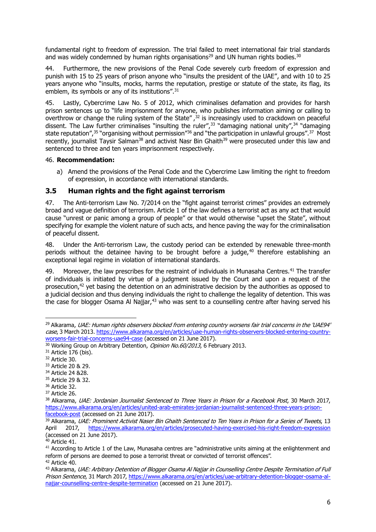fundamental right to freedom of expression. The trial failed to meet international fair trial standards and was widely condemned by human rights organisations<sup>29</sup> and UN human rights bodies.<sup>30</sup>

44. Furthermore, the new provisions of the Penal Code severely curb freedom of expression and punish with 15 to 25 years of prison anyone who "insults the president of the UAE", and with 10 to 25 years anyone who "insults, mocks, harms the reputation, prestige or statute of the state, its flag, its emblem, its symbols or any of its institutions".<sup>31</sup>

45. Lastly, Cybercrime Law No. 5 of 2012, which criminalises defamation and provides for harsh prison sentences up to "life imprisonment for anyone, who publishes information aiming or calling to overthrow or change the ruling system of the State",<sup>32</sup> is increasingly used to crackdown on peaceful dissent. The Law further criminalises "insulting the ruler",<sup>33</sup> "damaging national unity",<sup>34</sup> "damaging" state reputation",<sup>35</sup> "organising without permission"<sup>36</sup> and "the participation in unlawful groups".<sup>37</sup> Most recently, journalist Taysir Salman<sup>38</sup> and activist Nasr Bin Ghaith<sup>39</sup> were prosecuted under this law and sentenced to three and ten years imprisonment respectively.

#### 46. **Recommendation:**

a) Amend the provisions of the Penal Code and the Cybercrime Law limiting the right to freedom of expression, in accordance with international standards.

# **3.5 Human rights and the fight against terrorism**

47. The Anti-terrorism Law No. 7/2014 on the "fight against terrorist crimes" provides an extremely broad and vague definition of terrorism. Article 1 of the law defines a terrorist act as any act that would cause "unrest or panic among a group of people" or that would otherwise "upset the State", without specifying for example the violent nature of such acts, and hence paving the way for the criminalisation of peaceful dissent.

48. Under the Anti-terrorism Law, the custody period can be extended by renewable three-month periods without the detainee having to be brought before a judge, $40$  therefore establishing an exceptional legal regime in violation of international standards.

49. Moreover, the law prescribes for the restraint of individuals in Munasaha Centres.<sup>41</sup> The transfer of individuals is initiated by virtue of a judgment issued by the Court and upon a request of the prosecution,<sup>42</sup> yet basing the detention on an administrative decision by the authorities as opposed to a judicial decision and thus denying individuals the right to challenge the legality of detention. This was the case for blogger Osama Al Najjar,<sup>43</sup> who was sent to a counselling centre after having served his

- <sup>35</sup> Article 29 & 32.
- <sup>36</sup> Article 32.

<sup>&</sup>lt;sup>29</sup> Alkarama, UAE: Human rights observers blocked from entering country worsens fair trial concerns in the 'UAE94' case, 3 March 2013. [https://www.alkarama.org/en/articles/uae-human-rights-observers-blocked-entering-country](https://www.alkarama.org/en/articles/uae-human-rights-observers-blocked-entering-country-worsens-fair-trial-concerns-uae94-case)[worsens-fair-trial-concerns-uae94-case](https://www.alkarama.org/en/articles/uae-human-rights-observers-blocked-entering-country-worsens-fair-trial-concerns-uae94-case) (accessed on 21 June 2017).

<sup>&</sup>lt;sup>30</sup> Working Group on Arbitrary Detention, Opinion No.60/2013, 6 February 2013.

<sup>&</sup>lt;sup>31</sup> Article 176 (bis).

<sup>32</sup> Article 30.

<sup>33</sup> Article 20 & 29.

<sup>34</sup> Article 24 &28.

<sup>37</sup> Article 26.

<sup>&</sup>lt;sup>38</sup> Alkarama, UAE: Jordanian Journalist Sentenced to Three Years in Prison for a Facebook Post, 30 March 2017, [https://www.alkarama.org/en/articles/united-arab-emirates-jordanian-journalist-sentenced-three-years-prison](https://www.alkarama.org/en/articles/united-arab-emirates-jordanian-journalist-sentenced-three-years-prison-facebook-post)[facebook-post](https://www.alkarama.org/en/articles/united-arab-emirates-jordanian-journalist-sentenced-three-years-prison-facebook-post) (accessed on 21 June 2017).

<sup>39</sup> Alkarama, UAE: Prominent Activist Naser Bin Ghaith Sentenced to Ten Years in Prison for a Series of Tweets, 13 April 2017, <https://www.alkarama.org/en/articles/prosecuted-having-exercised-his-right-freedom-expression> (accessed on 21 June 2017).

 $40$  Article 41.

 $41$  According to Article 1 of the Law, Munasaha centres are "administrative units aiming at the enlightenment and reform of persons are deemed to pose a terrorist threat or convicted of terrorist offences". <sup>42</sup> Article 40.

<sup>43</sup> Alkarama, UAE: Arbitrary Detention of Blogger Osama Al Najjar in Counselling Centre Despite Termination of Full Prison Sentence, 31 March 2017[, https://www.alkarama.org/en/articles/uae-arbitrary-detention-blogger-osama-al](https://www.alkarama.org/en/articles/uae-arbitrary-detention-blogger-osama-al-najjar-counselling-centre-despite-termination)[najjar-counselling-centre-despite-termination](https://www.alkarama.org/en/articles/uae-arbitrary-detention-blogger-osama-al-najjar-counselling-centre-despite-termination) (accessed on 21 June 2017).